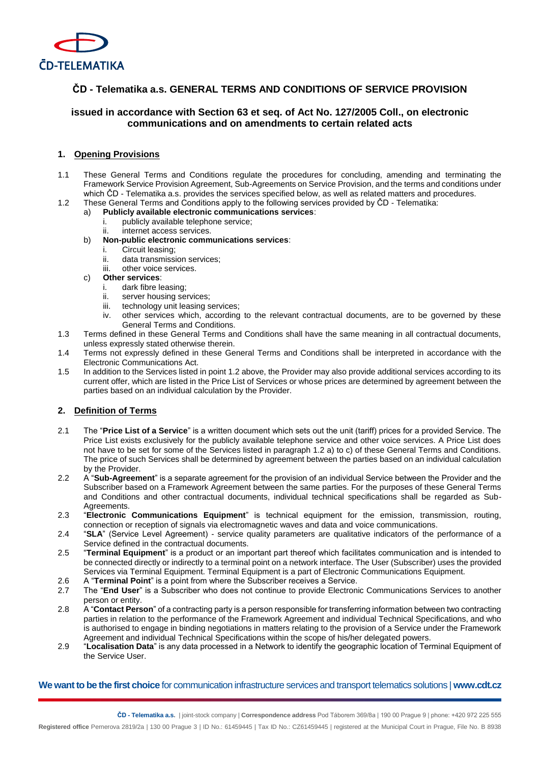

# **ČD - Telematika a.s. GENERAL TERMS AND CONDITIONS OF SERVICE PROVISION**

# **issued in accordance with Section 63 et seq. of Act No. 127/2005 Coll., on electronic communications and on amendments to certain related acts**

### **1. Opening Provisions**

- 1.1 These General Terms and Conditions regulate the procedures for concluding, amending and terminating the Framework Service Provision Agreement, Sub-Agreements on Service Provision, and the terms and conditions under which ČD - Telematika a.s. provides the services specified below, as well as related matters and procedures.
- 1.2 These General Terms and Conditions apply to the following services provided by ČD Telematika:
	- a) **Publicly available electronic communications services**:
		- i. publicly available telephone service;
		- ii. internet access services.
	- b) **Non-public electronic communications services**:
		- i. Circuit leasing;
		- ii. data transmission services;
		- iii. other voice services.
	- c) **Other services**:
		- i. dark fibre leasing;
		- ii. server housing services;
		- iii. technology unit leasing services;
		- iv. other services which, according to the relevant contractual documents, are to be governed by these General Terms and Conditions.
- 1.3 Terms defined in these General Terms and Conditions shall have the same meaning in all contractual documents, unless expressly stated otherwise therein.
- 1.4 Terms not expressly defined in these General Terms and Conditions shall be interpreted in accordance with the Electronic Communications Act.
- 1.5 In addition to the Services listed in point 1.2 above, the Provider may also provide additional services according to its current offer, which are listed in the Price List of Services or whose prices are determined by agreement between the parties based on an individual calculation by the Provider.

## **2. Definition of Terms**

- 2.1 The "**Price List of a Service**" is a written document which sets out the unit (tariff) prices for a provided Service. The Price List exists exclusively for the publicly available telephone service and other voice services. A Price List does not have to be set for some of the Services listed in paragraph 1.2 a) to c) of these General Terms and Conditions. The price of such Services shall be determined by agreement between the parties based on an individual calculation by the Provider.
- 2.2 A "**Sub-Agreement**" is a separate agreement for the provision of an individual Service between the Provider and the Subscriber based on a Framework Agreement between the same parties. For the purposes of these General Terms and Conditions and other contractual documents, individual technical specifications shall be regarded as Sub-**Agreements**
- 2.3 "**Electronic Communications Equipment**" is technical equipment for the emission, transmission, routing, connection or reception of signals via electromagnetic waves and data and voice communications.
- 2.4 "**SLA**" (Service Level Agreement) service quality parameters are qualitative indicators of the performance of a Service defined in the contractual documents.
- 2.5 "**Terminal Equipment**" is a product or an important part thereof which facilitates communication and is intended to be connected directly or indirectly to a terminal point on a network interface. The User (Subscriber) uses the provided Services via Terminal Equipment. Terminal Equipment is a part of Electronic Communications Equipment.
- 2.6 A "**Terminal Point**" is a point from where the Subscriber receives a Service.
- 2.7 The "**End User**" is a Subscriber who does not continue to provide Electronic Communications Services to another person or entity.
- 2.8 A "**Contact Person**" of a contracting party is a person responsible for transferring information between two contracting parties in relation to the performance of the Framework Agreement and individual Technical Specifications, and who is authorised to engage in binding negotiations in matters relating to the provision of a Service under the Framework Agreement and individual Technical Specifications within the scope of his/her delegated powers.
- 2.9 "**Localisation Data**" is any data processed in a Network to identify the geographic location of Terminal Equipment of the Service User.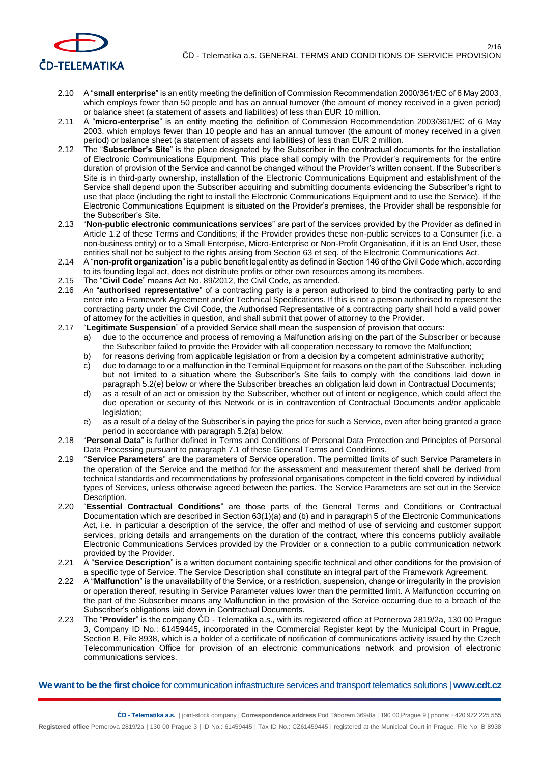

- 2.10 A "**small enterprise**" is an entity meeting the definition of Commission Recommendation 2000/361/EC of 6 May 2003, which employs fewer than 50 people and has an annual turnover (the amount of money received in a given period) or balance sheet (a statement of assets and liabilities) of less than EUR 10 million.
- 2.11 A "**micro-enterprise**" is an entity meeting the definition of Commission Recommendation 2003/361/EC of 6 May 2003, which employs fewer than 10 people and has an annual turnover (the amount of money received in a given period) or balance sheet (a statement of assets and liabilities) of less than EUR 2 million.
- 2.12 The "**Subscriber's Site**" is the place designated by the Subscriber in the contractual documents for the installation of Electronic Communications Equipment. This place shall comply with the Provider's requirements for the entire duration of provision of the Service and cannot be changed without the Provider's written consent. If the Subscriber's Site is in third-party ownership, installation of the Electronic Communications Equipment and establishment of the Service shall depend upon the Subscriber acquiring and submitting documents evidencing the Subscriber's right to use that place (including the right to install the Electronic Communications Equipment and to use the Service). If the Electronic Communications Equipment is situated on the Provider's premises, the Provider shall be responsible for the Subscriber's Site.
- 2.13 "**Non-public electronic communications services**" are part of the services provided by the Provider as defined in Article 1.2 of these Terms and Conditions; if the Provider provides these non-public services to a Consumer (i.e. a non-business entity) or to a Small Enterprise, Micro-Enterprise or Non-Profit Organisation, if it is an End User, these entities shall not be subject to the rights arising from Section 63 et seq. of the Electronic Communications Act.
- 2.14 A "**non-profit organization**" is a public benefit legal entity as defined in Section 146 of the Civil Code which, according to its founding legal act, does not distribute profits or other own resources among its members.
- 2.15 The "**Civil Code**" means Act No. 89/2012, the Civil Code, as amended.
- 2.16 An "**authorised representative**" of a contracting party is a person authorised to bind the contracting party to and enter into a Framework Agreement and/or Technical Specifications. If this is not a person authorised to represent the contracting party under the Civil Code, the Authorised Representative of a contracting party shall hold a valid power of attorney for the activities in question, and shall submit that power of attorney to the Provider.
- 2.17 "**Legitimate Suspension**" of a provided Service shall mean the suspension of provision that occurs:
	- a) due to the occurrence and process of removing a Malfunction arising on the part of the Subscriber or because the Subscriber failed to provide the Provider with all cooperation necessary to remove the Malfunction;
	- b) for reasons deriving from applicable legislation or from a decision by a competent administrative authority;
	- c) due to damage to or a malfunction in the Terminal Equipment for reasons on the part of the Subscriber, including but not limited to a situation where the Subscriber's Site fails to comply with the conditions laid down in paragraph 5.2(e) below or where the Subscriber breaches an obligation laid down in Contractual Documents;
	- d) as a result of an act or omission by the Subscriber, whether out of intent or negligence, which could affect the due operation or security of this Network or is in contravention of Contractual Documents and/or applicable legislation;
	- e) as a result of a delay of the Subscriber's in paying the price for such a Service, even after being granted a grace period in accordance with paragraph 5.2(a) below.
- 2.18 "**Personal Data**" is further defined in Terms and Conditions of Personal Data Protection and Principles of Personal Data Processing pursuant to paragraph 7.1 of these General Terms and Conditions.
- 2.19 "**Service Parameters**" are the parameters of Service operation. The permitted limits of such Service Parameters in the operation of the Service and the method for the assessment and measurement thereof shall be derived from technical standards and recommendations by professional organisations competent in the field covered by individual types of Services, unless otherwise agreed between the parties. The Service Parameters are set out in the Service Description.
- 2.20 "**Essential Contractual Conditions**" are those parts of the General Terms and Conditions or Contractual Documentation which are described in Section 63(1)(a) and (b) and in paragraph 5 of the Electronic Communications Act, i.e. in particular a description of the service, the offer and method of use of servicing and customer support services, pricing details and arrangements on the duration of the contract, where this concerns publicly available Electronic Communications Services provided by the Provider or a connection to a public communication network provided by the Provider.
- 2.21 A "**Service Description**" is a written document containing specific technical and other conditions for the provision of a specific type of Service. The Service Description shall constitute an integral part of the Framework Agreement.
- 2.22 A "**Malfunction**" is the unavailability of the Service, or a restriction, suspension, change or irregularity in the provision or operation thereof, resulting in Service Parameter values lower than the permitted limit. A Malfunction occurring on the part of the Subscriber means any Malfunction in the provision of the Service occurring due to a breach of the Subscriber's obligations laid down in Contractual Documents.
- 2.23 The "**Provider**" is the company ČD Telematika a.s., with its registered office at Pernerova 2819/2a, 130 00 Prague 3, Company ID No.: 61459445, incorporated in the Commercial Register kept by the Municipal Court in Prague, Section B, File 8938, which is a holder of a certificate of notification of communications activity issued by the Czech Telecommunication Office for provision of an electronic communications network and provision of electronic communications services.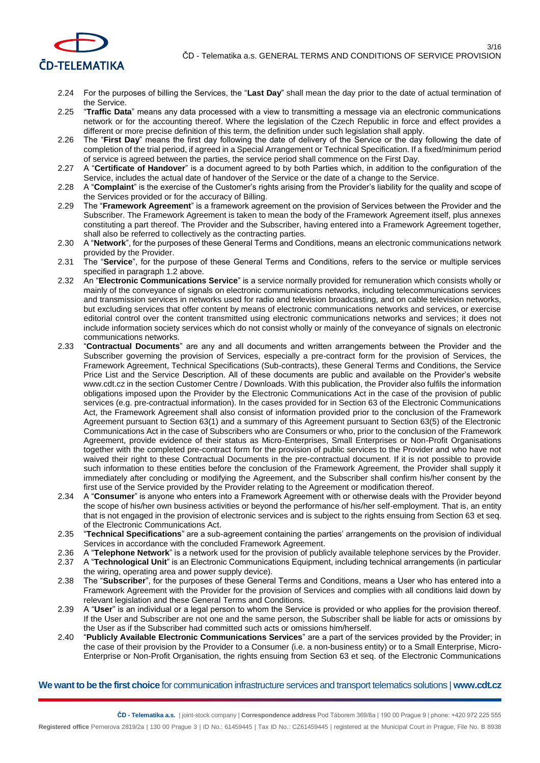

- 2.24 For the purposes of billing the Services, the "**Last Day**" shall mean the day prior to the date of actual termination of the Service.
- 2.25 "**Traffic Data**" means any data processed with a view to transmitting a message via an electronic communications network or for the accounting thereof. Where the legislation of the Czech Republic in force and effect provides a different or more precise definition of this term, the definition under such legislation shall apply.
- 2.26 The "**First Day**" means the first day following the date of delivery of the Service or the day following the date of completion of the trial period, if agreed in a Special Arrangement or Technical Specification. If a fixed/minimum period of service is agreed between the parties, the service period shall commence on the First Day.
- 2.27 A "**Certificate of Handover**" is a document agreed to by both Parties which, in addition to the configuration of the Service, includes the actual date of handover of the Service or the date of a change to the Service.
- 2.28 A "**Complaint**" is the exercise of the Customer's rights arising from the Provider's liability for the quality and scope of the Services provided or for the accuracy of Billing.
- 2.29 The "**Framework Agreement**" is a framework agreement on the provision of Services between the Provider and the Subscriber. The Framework Agreement is taken to mean the body of the Framework Agreement itself, plus annexes constituting a part thereof. The Provider and the Subscriber, having entered into a Framework Agreement together, shall also be referred to collectively as the contracting parties.
- 2.30 A "**Network**", for the purposes of these General Terms and Conditions, means an electronic communications network provided by the Provider.
- 2.31 The "**Service**", for the purpose of these General Terms and Conditions, refers to the service or multiple services specified in paragraph 1.2 above.
- 2.32 An "**Electronic Communications Service**" is a service normally provided for remuneration which consists wholly or mainly of the conveyance of signals on electronic communications networks, including telecommunications services and transmission services in networks used for radio and television broadcasting, and on cable television networks, but excluding services that offer content by means of electronic communications networks and services, or exercise editorial control over the content transmitted using electronic communications networks and services; it does not include information society services which do not consist wholly or mainly of the conveyance of signals on electronic communications networks.
- 2.33 "**Contractual Documents**" are any and all documents and written arrangements between the Provider and the Subscriber governing the provision of Services, especially a pre-contract form for the provision of Services, the Framework Agreement, Technical Specifications (Sub-contracts), these General Terms and Conditions, the Service Price List and the Service Description. All of these documents are public and available on the Provider's website www.cdt.cz in the section Customer Centre / Downloads. With this publication, the Provider also fulfils the information obligations imposed upon the Provider by the Electronic Communications Act in the case of the provision of public services (e.g. pre-contractual information). In the cases provided for in Section 63 of the Electronic Communications Act, the Framework Agreement shall also consist of information provided prior to the conclusion of the Framework Agreement pursuant to Section 63(1) and a summary of this Agreement pursuant to Section 63(5) of the Electronic Communications Act in the case of Subscribers who are Consumers or who, prior to the conclusion of the Framework Agreement, provide evidence of their status as Micro-Enterprises, Small Enterprises or Non-Profit Organisations together with the completed pre-contract form for the provision of public services to the Provider and who have not waived their right to these Contractual Documents in the pre-contractual document. If it is not possible to provide such information to these entities before the conclusion of the Framework Agreement, the Provider shall supply it immediately after concluding or modifying the Agreement, and the Subscriber shall confirm his/her consent by the first use of the Service provided by the Provider relating to the Agreement or modification thereof.
- 2.34 A "**Consumer**" is anyone who enters into a Framework Agreement with or otherwise deals with the Provider beyond the scope of his/her own business activities or beyond the performance of his/her self-employment. That is, an entity that is not engaged in the provision of electronic services and is subject to the rights ensuing from Section 63 et seq. of the Electronic Communications Act.
- 2.35 "**Technical Specifications**" are a sub-agreement containing the parties' arrangements on the provision of individual Services in accordance with the concluded Framework Agreement.
- 2.36 A "**Telephone Network**" is a network used for the provision of publicly available telephone services by the Provider.
- 2.37 A "**Technological Unit**" is an Electronic Communications Equipment, including technical arrangements (in particular the wiring, operating area and power supply device).
- 2.38 The "**Subscriber**", for the purposes of these General Terms and Conditions, means a User who has entered into a Framework Agreement with the Provider for the provision of Services and complies with all conditions laid down by relevant legislation and these General Terms and Conditions.
- 2.39 A "**User**" is an individual or a legal person to whom the Service is provided or who applies for the provision thereof. If the User and Subscriber are not one and the same person, the Subscriber shall be liable for acts or omissions by the User as if the Subscriber had committed such acts or omissions him/herself.
- 2.40 "**Publicly Available Electronic Communications Services**" are a part of the services provided by the Provider; in the case of their provision by the Provider to a Consumer (i.e. a non-business entity) or to a Small Enterprise, Micro-Enterprise or Non-Profit Organisation, the rights ensuing from Section 63 et seq. of the Electronic Communications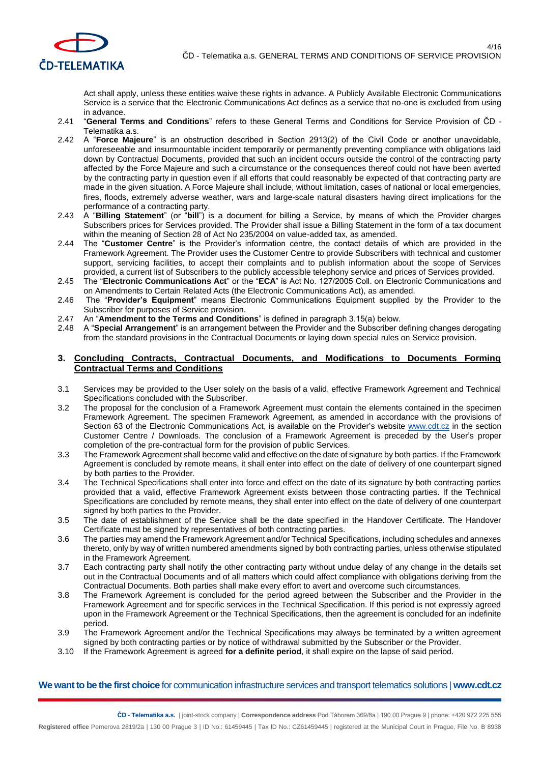

Act shall apply, unless these entities waive these rights in advance. A Publicly Available Electronic Communications Service is a service that the Electronic Communications Act defines as a service that no-one is excluded from using in advance.

- 2.41 "**General Terms and Conditions**" refers to these General Terms and Conditions for Service Provision of ČD Telematika a.s.
- 2.42 A "**Force Majeure**" is an obstruction described in Section 2913(2) of the Civil Code or another unavoidable, unforeseeable and insurmountable incident temporarily or permanently preventing compliance with obligations laid down by Contractual Documents, provided that such an incident occurs outside the control of the contracting party affected by the Force Majeure and such a circumstance or the consequences thereof could not have been averted by the contracting party in question even if all efforts that could reasonably be expected of that contracting party are made in the given situation. A Force Majeure shall include, without limitation, cases of national or local emergencies, fires, floods, extremely adverse weather, wars and large-scale natural disasters having direct implications for the performance of a contracting party.
- 2.43 A "**Billing Statement**" (or "**bill**") is a document for billing a Service, by means of which the Provider charges Subscribers prices for Services provided. The Provider shall issue a Billing Statement in the form of a tax document within the meaning of Section 28 of Act No 235/2004 on value-added tax, as amended.
- 2.44 The "**Customer Centre**" is the Provider's information centre, the contact details of which are provided in the Framework Agreement. The Provider uses the Customer Centre to provide Subscribers with technical and customer support, servicing facilities, to accept their complaints and to publish information about the scope of Services provided, a current list of Subscribers to the publicly accessible telephony service and prices of Services provided.
- 2.45 The "**Electronic Communications Act**" or the "**ECA**" is Act No. 127/2005 Coll. on Electronic Communications and on Amendments to Certain Related Acts (the Electronic Communications Act), as amended.
- 2.46 The "**Provider's Equipment**" means Electronic Communications Equipment supplied by the Provider to the Subscriber for purposes of Service provision.
- 2.47 An "**Amendment to the Terms and Conditions**" is defined in paragraph 3.15(a) below.
- 2.48 A "**Special Arrangement**" is an arrangement between the Provider and the Subscriber defining changes derogating from the standard provisions in the Contractual Documents or laying down special rules on Service provision.

### **3. Concluding Contracts, Contractual Documents, and Modifications to Documents Forming Contractual Terms and Conditions**

- 3.1 Services may be provided to the User solely on the basis of a valid, effective Framework Agreement and Technical Specifications concluded with the Subscriber.
- 3.2 The proposal for the conclusion of a Framework Agreement must contain the elements contained in the specimen Framework Agreement. The specimen Framework Agreement, as amended in accordance with the provisions of Section 63 of the Electronic Communications Act, is available on the Provider's website [www.cdt.cz](http://www.cdt.cz/) in the section Customer Centre / Downloads. The conclusion of a Framework Agreement is preceded by the User's proper completion of the pre-contractual form for the provision of public Services.
- 3.3 The Framework Agreement shall become valid and effective on the date of signature by both parties. If the Framework Agreement is concluded by remote means, it shall enter into effect on the date of delivery of one counterpart signed by both parties to the Provider.
- 3.4 The Technical Specifications shall enter into force and effect on the date of its signature by both contracting parties provided that a valid, effective Framework Agreement exists between those contracting parties. If the Technical Specifications are concluded by remote means, they shall enter into effect on the date of delivery of one counterpart signed by both parties to the Provider.
- 3.5 The date of establishment of the Service shall be the date specified in the Handover Certificate. The Handover Certificate must be signed by representatives of both contracting parties.
- 3.6 The parties may amend the Framework Agreement and/or Technical Specifications, including schedules and annexes thereto, only by way of written numbered amendments signed by both contracting parties, unless otherwise stipulated in the Framework Agreement.
- 3.7 Each contracting party shall notify the other contracting party without undue delay of any change in the details set out in the Contractual Documents and of all matters which could affect compliance with obligations deriving from the Contractual Documents. Both parties shall make every effort to avert and overcome such circumstances.
- 3.8 The Framework Agreement is concluded for the period agreed between the Subscriber and the Provider in the Framework Agreement and for specific services in the Technical Specification. If this period is not expressly agreed upon in the Framework Agreement or the Technical Specifications, then the agreement is concluded for an indefinite period.
- 3.9 The Framework Agreement and/or the Technical Specifications may always be terminated by a written agreement signed by both contracting parties or by notice of withdrawal submitted by the Subscriber or the Provider.
- 3.10 If the Framework Agreement is agreed **for a definite period**, it shall expire on the lapse of said period.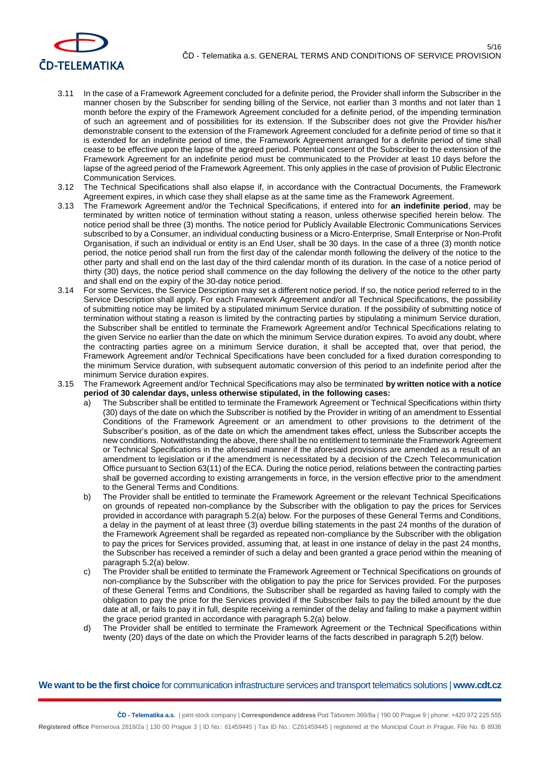

- 3.11 In the case of a Framework Agreement concluded for a definite period, the Provider shall inform the Subscriber in the manner chosen by the Subscriber for sending billing of the Service, not earlier than 3 months and not later than 1 month before the expiry of the Framework Agreement concluded for a definite period, of the impending termination of such an agreement and of possibilities for its extension. If the Subscriber does not give the Provider his/her demonstrable consent to the extension of the Framework Agreement concluded for a definite period of time so that it is extended for an indefinite period of time, the Framework Agreement arranged for a definite period of time shall cease to be effective upon the lapse of the agreed period. Potential consent of the Subscriber to the extension of the Framework Agreement for an indefinite period must be communicated to the Provider at least 10 days before the lapse of the agreed period of the Framework Agreement. This only applies in the case of provision of Public Electronic Communication Services.
- 3.12 The Technical Specifications shall also elapse if, in accordance with the Contractual Documents, the Framework Agreement expires, in which case they shall elapse as at the same time as the Framework Agreement.
- 3.13 The Framework Agreement and/or the Technical Specifications, if entered into for **an indefinite period**, may be terminated by written notice of termination without stating a reason, unless otherwise specified herein below. The notice period shall be three (3) months. The notice period for Publicly Available Electronic Communications Services subscribed to by a Consumer, an individual conducting business or a Micro-Enterprise, Small Enterprise or Non-Profit Organisation, if such an individual or entity is an End User, shall be 30 days. In the case of a three (3) month notice period, the notice period shall run from the first day of the calendar month following the delivery of the notice to the other party and shall end on the last day of the third calendar month of its duration. In the case of a notice period of thirty (30) days, the notice period shall commence on the day following the delivery of the notice to the other party and shall end on the expiry of the 30-day notice period.
- 3.14 For some Services, the Service Description may set a different notice period. If so, the notice period referred to in the Service Description shall apply. For each Framework Agreement and/or all Technical Specifications, the possibility of submitting notice may be limited by a stipulated minimum Service duration. If the possibility of submitting notice of termination without stating a reason is limited by the contracting parties by stipulating a minimum Service duration, the Subscriber shall be entitled to terminate the Framework Agreement and/or Technical Specifications relating to the given Service no earlier than the date on which the minimum Service duration expires. To avoid any doubt, where the contracting parties agree on a minimum Service duration, it shall be accepted that, over that period, the Framework Agreement and/or Technical Specifications have been concluded for a fixed duration corresponding to the minimum Service duration, with subsequent automatic conversion of this period to an indefinite period after the minimum Service duration expires.
- 3.15 The Framework Agreement and/or Technical Specifications may also be terminated **by written notice with a notice period of 30 calendar days, unless otherwise stipulated, in the following cases:**
	- a) The Subscriber shall be entitled to terminate the Framework Agreement or Technical Specifications within thirty (30) days of the date on which the Subscriber is notified by the Provider in writing of an amendment to Essential Conditions of the Framework Agreement or an amendment to other provisions to the detriment of the Subscriber's position, as of the date on which the amendment takes effect, unless the Subscriber accepts the new conditions. Notwithstanding the above, there shall be no entitlement to terminate the Framework Agreement or Technical Specifications in the aforesaid manner if the aforesaid provisions are amended as a result of an amendment to legislation or if the amendment is necessitated by a decision of the Czech Telecommunication Office pursuant to Section 63(11) of the ECA. During the notice period, relations between the contracting parties shall be governed according to existing arrangements in force, in the version effective prior to the amendment to the General Terms and Conditions.
	- b) The Provider shall be entitled to terminate the Framework Agreement or the relevant Technical Specifications on grounds of repeated non-compliance by the Subscriber with the obligation to pay the prices for Services provided in accordance with paragraph 5.2(a) below. For the purposes of these General Terms and Conditions, a delay in the payment of at least three (3) overdue billing statements in the past 24 months of the duration of the Framework Agreement shall be regarded as repeated non-compliance by the Subscriber with the obligation to pay the prices for Services provided, assuming that, at least in one instance of delay in the past 24 months, the Subscriber has received a reminder of such a delay and been granted a grace period within the meaning of paragraph 5.2(a) below.
	- c) The Provider shall be entitled to terminate the Framework Agreement or Technical Specifications on grounds of non-compliance by the Subscriber with the obligation to pay the price for Services provided. For the purposes of these General Terms and Conditions, the Subscriber shall be regarded as having failed to comply with the obligation to pay the price for the Services provided if the Subscriber fails to pay the billed amount by the due date at all, or fails to pay it in full, despite receiving a reminder of the delay and failing to make a payment within the grace period granted in accordance with paragraph 5.2(a) below.
	- d) The Provider shall be entitled to terminate the Framework Agreement or the Technical Specifications within twenty (20) days of the date on which the Provider learns of the facts described in paragraph 5.2(f) below.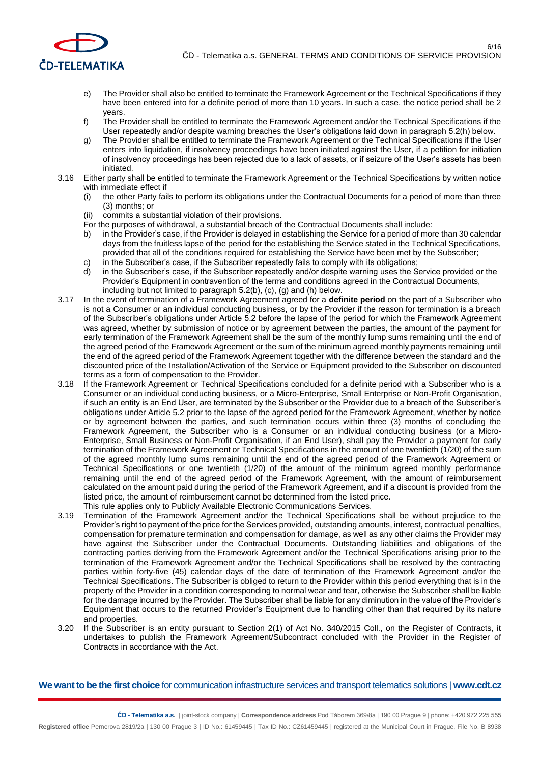

- e) The Provider shall also be entitled to terminate the Framework Agreement or the Technical Specifications if they have been entered into for a definite period of more than 10 years. In such a case, the notice period shall be 2 years.
- f) The Provider shall be entitled to terminate the Framework Agreement and/or the Technical Specifications if the User repeatedly and/or despite warning breaches the User's obligations laid down in paragraph 5.2(h) below.
- g) The Provider shall be entitled to terminate the Framework Agreement or the Technical Specifications if the User enters into liquidation, if insolvency proceedings have been initiated against the User, if a petition for initiation of insolvency proceedings has been rejected due to a lack of assets, or if seizure of the User's assets has been initiated.
- 3.16 Either party shall be entitled to terminate the Framework Agreement or the Technical Specifications by written notice with immediate effect if
	- the other Party fails to perform its obligations under the Contractual Documents for a period of more than three (3) months; or
	- (ii) commits a substantial violation of their provisions.
	- For the purposes of withdrawal, a substantial breach of the Contractual Documents shall include:
	- b) in the Provider's case, if the Provider is delayed in establishing the Service for a period of more than 30 calendar days from the fruitless lapse of the period for the establishing the Service stated in the Technical Specifications, provided that all of the conditions required for establishing the Service have been met by the Subscriber;
	- c) in the Subscriber's case, if the Subscriber repeatedly fails to comply with its obligations;
	- d) in the Subscriber's case, if the Subscriber repeatedly and/or despite warning uses the Service provided or the Provider's Equipment in contravention of the terms and conditions agreed in the Contractual Documents, including but not limited to paragraph 5.2(b), (c), (g) and (h) below.
- 3.17 In the event of termination of a Framework Agreement agreed for a **definite period** on the part of a Subscriber who is not a Consumer or an individual conducting business, or by the Provider if the reason for termination is a breach of the Subscriber's obligations under Article 5.2 before the lapse of the period for which the Framework Agreement was agreed, whether by submission of notice or by agreement between the parties, the amount of the payment for early termination of the Framework Agreement shall be the sum of the monthly lump sums remaining until the end of the agreed period of the Framework Agreement or the sum of the minimum agreed monthly payments remaining until the end of the agreed period of the Framework Agreement together with the difference between the standard and the discounted price of the Installation/Activation of the Service or Equipment provided to the Subscriber on discounted terms as a form of compensation to the Provider.
- 3.18 If the Framework Agreement or Technical Specifications concluded for a definite period with a Subscriber who is a Consumer or an individual conducting business, or a Micro-Enterprise, Small Enterprise or Non-Profit Organisation, if such an entity is an End User, are terminated by the Subscriber or the Provider due to a breach of the Subscriber's obligations under Article 5.2 prior to the lapse of the agreed period for the Framework Agreement, whether by notice or by agreement between the parties, and such termination occurs within three (3) months of concluding the Framework Agreement, the Subscriber who is a Consumer or an individual conducting business (or a Micro-Enterprise, Small Business or Non-Profit Organisation, if an End User), shall pay the Provider a payment for early termination of the Framework Agreement or Technical Specifications in the amount of one twentieth (1/20) of the sum of the agreed monthly lump sums remaining until the end of the agreed period of the Framework Agreement or Technical Specifications or one twentieth (1/20) of the amount of the minimum agreed monthly performance remaining until the end of the agreed period of the Framework Agreement, with the amount of reimbursement calculated on the amount paid during the period of the Framework Agreement, and if a discount is provided from the listed price, the amount of reimbursement cannot be determined from the listed price. This rule applies only to Publicly Available Electronic Communications Services.
- 3.19 Termination of the Framework Agreement and/or the Technical Specifications shall be without prejudice to the Provider's right to payment of the price for the Services provided, outstanding amounts, interest, contractual penalties, compensation for premature termination and compensation for damage, as well as any other claims the Provider may have against the Subscriber under the Contractual Documents. Outstanding liabilities and obligations of the contracting parties deriving from the Framework Agreement and/or the Technical Specifications arising prior to the termination of the Framework Agreement and/or the Technical Specifications shall be resolved by the contracting parties within forty-five (45) calendar days of the date of termination of the Framework Agreement and/or the Technical Specifications. The Subscriber is obliged to return to the Provider within this period everything that is in the property of the Provider in a condition corresponding to normal wear and tear, otherwise the Subscriber shall be liable for the damage incurred by the Provider. The Subscriber shall be liable for any diminution in the value of the Provider's Equipment that occurs to the returned Provider's Equipment due to handling other than that required by its nature and properties.
- 3.20 If the Subscriber is an entity pursuant to Section 2(1) of Act No. 340/2015 Coll., on the Register of Contracts, it undertakes to publish the Framework Agreement/Subcontract concluded with the Provider in the Register of Contracts in accordance with the Act.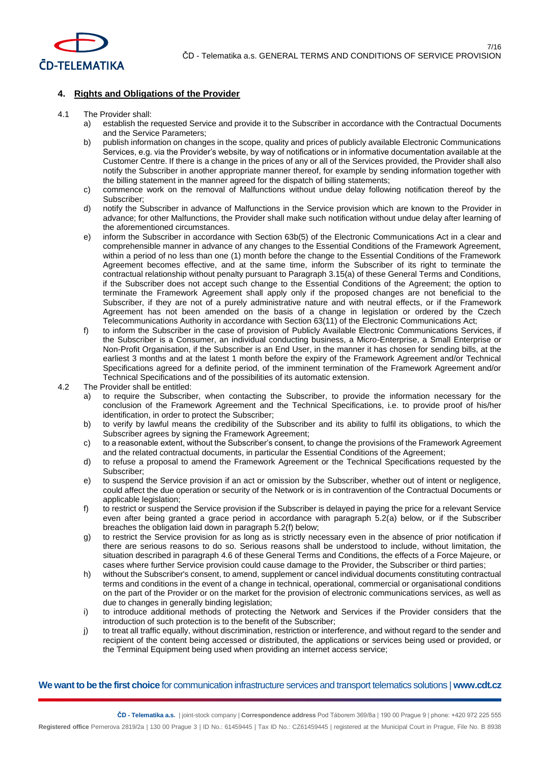

## **4. Rights and Obligations of the Provider**

#### 4.1 The Provider shall:

- a) establish the requested Service and provide it to the Subscriber in accordance with the Contractual Documents and the Service Parameters;
- b) publish information on changes in the scope, quality and prices of publicly available Electronic Communications Services, e.g. via the Provider's website, by way of notifications or in informative documentation available at the Customer Centre. If there is a change in the prices of any or all of the Services provided, the Provider shall also notify the Subscriber in another appropriate manner thereof, for example by sending information together with the billing statement in the manner agreed for the dispatch of billing statements;
- c) commence work on the removal of Malfunctions without undue delay following notification thereof by the Subscriber;
- d) notify the Subscriber in advance of Malfunctions in the Service provision which are known to the Provider in advance; for other Malfunctions, the Provider shall make such notification without undue delay after learning of the aforementioned circumstances.
- e) inform the Subscriber in accordance with Section 63b(5) of the Electronic Communications Act in a clear and comprehensible manner in advance of any changes to the Essential Conditions of the Framework Agreement, within a period of no less than one (1) month before the change to the Essential Conditions of the Framework Agreement becomes effective, and at the same time, inform the Subscriber of its right to terminate the contractual relationship without penalty pursuant to Paragraph 3.15(a) of these General Terms and Conditions, if the Subscriber does not accept such change to the Essential Conditions of the Agreement; the option to terminate the Framework Agreement shall apply only if the proposed changes are not beneficial to the Subscriber, if they are not of a purely administrative nature and with neutral effects, or if the Framework Agreement has not been amended on the basis of a change in legislation or ordered by the Czech Telecommunications Authority in accordance with Section 63(11) of the Electronic Communications Act;
- f) to inform the Subscriber in the case of provision of Publicly Available Electronic Communications Services, if the Subscriber is a Consumer, an individual conducting business, a Micro-Enterprise, a Small Enterprise or Non-Profit Organisation, if the Subscriber is an End User, in the manner it has chosen for sending bills, at the earliest 3 months and at the latest 1 month before the expiry of the Framework Agreement and/or Technical Specifications agreed for a definite period, of the imminent termination of the Framework Agreement and/or Technical Specifications and of the possibilities of its automatic extension.

4.2 The Provider shall be entitled:

- to require the Subscriber, when contacting the Subscriber, to provide the information necessary for the conclusion of the Framework Agreement and the Technical Specifications, i.e. to provide proof of his/her identification, in order to protect the Subscriber;
- b) to verify by lawful means the credibility of the Subscriber and its ability to fulfil its obligations, to which the Subscriber agrees by signing the Framework Agreement;
- c) to a reasonable extent, without the Subscriber's consent, to change the provisions of the Framework Agreement and the related contractual documents, in particular the Essential Conditions of the Agreement;
- d) to refuse a proposal to amend the Framework Agreement or the Technical Specifications requested by the Subscriber;
- e) to suspend the Service provision if an act or omission by the Subscriber, whether out of intent or negligence, could affect the due operation or security of the Network or is in contravention of the Contractual Documents or applicable legislation;
- f) to restrict or suspend the Service provision if the Subscriber is delayed in paying the price for a relevant Service even after being granted a grace period in accordance with paragraph 5.2(a) below, or if the Subscriber breaches the obligation laid down in paragraph 5.2(f) below;
- g) to restrict the Service provision for as long as is strictly necessary even in the absence of prior notification if there are serious reasons to do so. Serious reasons shall be understood to include, without limitation, the situation described in paragraph 4.6 of these General Terms and Conditions, the effects of a Force Majeure, or cases where further Service provision could cause damage to the Provider, the Subscriber or third parties;
- h) without the Subscriber's consent, to amend, supplement or cancel individual documents constituting contractual terms and conditions in the event of a change in technical, operational, commercial or organisational conditions on the part of the Provider or on the market for the provision of electronic communications services, as well as due to changes in generally binding legislation;
- i) to introduce additional methods of protecting the Network and Services if the Provider considers that the introduction of such protection is to the benefit of the Subscriber;
- j) to treat all traffic equally, without discrimination, restriction or interference, and without regard to the sender and recipient of the content being accessed or distributed, the applications or services being used or provided, or the Terminal Equipment being used when providing an internet access service;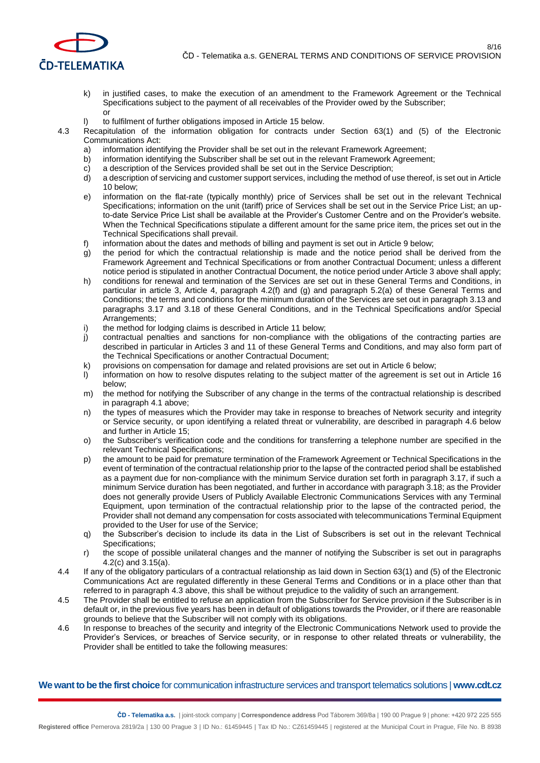

- k) in justified cases, to make the execution of an amendment to the Framework Agreement or the Technical Specifications subject to the payment of all receivables of the Provider owed by the Subscriber; or
- to fulfilment of further obligations imposed in Article 15 below.
- 4.3 Recapitulation of the information obligation for contracts under Section 63(1) and (5) of the Electronic Communications Act:
	- a) information identifying the Provider shall be set out in the relevant Framework Agreement;
	- b) information identifying the Subscriber shall be set out in the relevant Framework Agreement;
	- c) a description of the Services provided shall be set out in the Service Description;
	- d) a description of servicing and customer support services, including the method of use thereof, is set out in Article 10 below;
	- e) information on the flat-rate (typically monthly) price of Services shall be set out in the relevant Technical Specifications; information on the unit (tariff) price of Services shall be set out in the Service Price List; an upto-date Service Price List shall be available at the Provider's Customer Centre and on the Provider's website. When the Technical Specifications stipulate a different amount for the same price item, the prices set out in the Technical Specifications shall prevail.
	- information about the dates and methods of billing and payment is set out in Article 9 below;
	- g) the period for which the contractual relationship is made and the notice period shall be derived from the Framework Agreement and Technical Specifications or from another Contractual Document; unless a different notice period is stipulated in another Contractual Document, the notice period under Article 3 above shall apply;
	- h) conditions for renewal and termination of the Services are set out in these General Terms and Conditions, in particular in article 3, Article 4, paragraph 4.2(f) and (g) and paragraph 5.2(a) of these General Terms and Conditions; the terms and conditions for the minimum duration of the Services are set out in paragraph 3.13 and paragraphs 3.17 and 3.18 of these General Conditions, and in the Technical Specifications and/or Special Arrangements;
	- i) the method for lodging claims is described in Article 11 below;
	- j) contractual penalties and sanctions for non-compliance with the obligations of the contracting parties are described in particular in Articles 3 and 11 of these General Terms and Conditions, and may also form part of the Technical Specifications or another Contractual Document;
	- k) provisions on compensation for damage and related provisions are set out in Article 6 below;
	- l) information on how to resolve disputes relating to the subject matter of the agreement is set out in Article 16 below;
	- m) the method for notifying the Subscriber of any change in the terms of the contractual relationship is described in paragraph 4.1 above;
	- n) the types of measures which the Provider may take in response to breaches of Network security and integrity or Service security, or upon identifying a related threat or vulnerability, are described in paragraph 4.6 below and further in Article 15;
	- o) the Subscriber's verification code and the conditions for transferring a telephone number are specified in the relevant Technical Specifications;
	- p) the amount to be paid for premature termination of the Framework Agreement or Technical Specifications in the event of termination of the contractual relationship prior to the lapse of the contracted period shall be established as a payment due for non-compliance with the minimum Service duration set forth in paragraph 3.17, if such a minimum Service duration has been negotiated, and further in accordance with paragraph 3.18; as the Provider does not generally provide Users of Publicly Available Electronic Communications Services with any Terminal Equipment, upon termination of the contractual relationship prior to the lapse of the contracted period, the Provider shall not demand any compensation for costs associated with telecommunications Terminal Equipment provided to the User for use of the Service;
	- q) the Subscriber's decision to include its data in the List of Subscribers is set out in the relevant Technical Specifications;
	- r) the scope of possible unilateral changes and the manner of notifying the Subscriber is set out in paragraphs 4.2(c) and 3.15(a).
- 4.4 If any of the obligatory particulars of a contractual relationship as laid down in Section 63(1) and (5) of the Electronic Communications Act are regulated differently in these General Terms and Conditions or in a place other than that referred to in paragraph 4.3 above, this shall be without prejudice to the validity of such an arrangement.
- 4.5 The Provider shall be entitled to refuse an application from the Subscriber for Service provision if the Subscriber is in default or, in the previous five years has been in default of obligations towards the Provider, or if there are reasonable grounds to believe that the Subscriber will not comply with its obligations.
- 4.6 In response to breaches of the security and integrity of the Electronic Communications Network used to provide the Provider's Services, or breaches of Service security, or in response to other related threats or vulnerability, the Provider shall be entitled to take the following measures: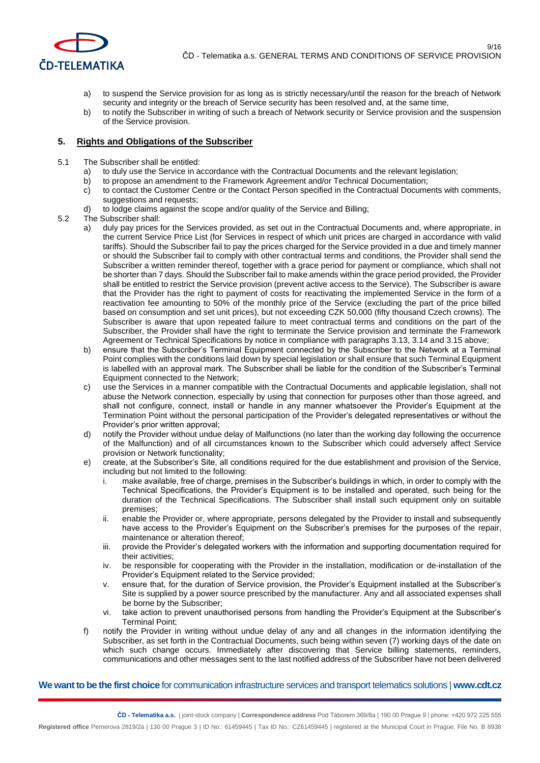

- a) to suspend the Service provision for as long as is strictly necessary/until the reason for the breach of Network security and integrity or the breach of Service security has been resolved and, at the same time,
- b) to notify the Subscriber in writing of such a breach of Network security or Service provision and the suspension of the Service provision.

#### **5. Rights and Obligations of the Subscriber**

- 5.1 The Subscriber shall be entitled:
	- a) to duly use the Service in accordance with the Contractual Documents and the relevant legislation;
	- b) to propose an amendment to the Framework Agreement and/or Technical Documentation;
	- c) to contact the Customer Centre or the Contact Person specified in the Contractual Documents with comments, suggestions and requests;
	- d) to lodge claims against the scope and/or quality of the Service and Billing;
- 5.2 The Subscriber shall:
	- a) duly pay prices for the Services provided, as set out in the Contractual Documents and, where appropriate, in the current Service Price List (for Services in respect of which unit prices are charged in accordance with valid tariffs). Should the Subscriber fail to pay the prices charged for the Service provided in a due and timely manner or should the Subscriber fail to comply with other contractual terms and conditions, the Provider shall send the Subscriber a written reminder thereof, together with a grace period for payment or compliance, which shall not be shorter than 7 days. Should the Subscriber fail to make amends within the grace period provided, the Provider shall be entitled to restrict the Service provision (prevent active access to the Service). The Subscriber is aware that the Provider has the right to payment of costs for reactivating the implemented Service in the form of a reactivation fee amounting to 50% of the monthly price of the Service (excluding the part of the price billed based on consumption and set unit prices), but not exceeding CZK 50,000 (fifty thousand Czech crowns). The Subscriber is aware that upon repeated failure to meet contractual terms and conditions on the part of the Subscriber, the Provider shall have the right to terminate the Service provision and terminate the Framework Agreement or Technical Specifications by notice in compliance with paragraphs 3.13, 3.14 and 3.15 above;
	- b) ensure that the Subscriber's Terminal Equipment connected by the Subscriber to the Network at a Terminal Point complies with the conditions laid down by special legislation or shall ensure that such Terminal Equipment is labelled with an approval mark. The Subscriber shall be liable for the condition of the Subscriber's Terminal Equipment connected to the Network;
	- c) use the Services in a manner compatible with the Contractual Documents and applicable legislation, shall not abuse the Network connection, especially by using that connection for purposes other than those agreed, and shall not configure, connect, install or handle in any manner whatsoever the Provider's Equipment at the Termination Point without the personal participation of the Provider's delegated representatives or without the Provider's prior written approval;
	- d) notify the Provider without undue delay of Malfunctions (no later than the working day following the occurrence of the Malfunction) and of all circumstances known to the Subscriber which could adversely affect Service provision or Network functionality;
	- e) create, at the Subscriber's Site, all conditions required for the due establishment and provision of the Service, including but not limited to the following:
		- i. make available, free of charge, premises in the Subscriber's buildings in which, in order to comply with the Technical Specifications, the Provider's Equipment is to be installed and operated, such being for the duration of the Technical Specifications. The Subscriber shall install such equipment only on suitable premises;
		- ii. enable the Provider or, where appropriate, persons delegated by the Provider to install and subsequently have access to the Provider's Equipment on the Subscriber's premises for the purposes of the repair, maintenance or alteration thereof;
		- iii. provide the Provider's delegated workers with the information and supporting documentation required for their activities;
		- iv. be responsible for cooperating with the Provider in the installation, modification or de-installation of the Provider's Equipment related to the Service provided;
		- v. ensure that, for the duration of Service provision, the Provider's Equipment installed at the Subscriber's Site is supplied by a power source prescribed by the manufacturer. Any and all associated expenses shall be borne by the Subscriber;
		- vi. take action to prevent unauthorised persons from handling the Provider's Equipment at the Subscriber's Terminal Point;
	- f) notify the Provider in writing without undue delay of any and all changes in the information identifying the Subscriber, as set forth in the Contractual Documents, such being within seven (7) working days of the date on which such change occurs. Immediately after discovering that Service billing statements, reminders, communications and other messages sent to the last notified address of the Subscriber have not been delivered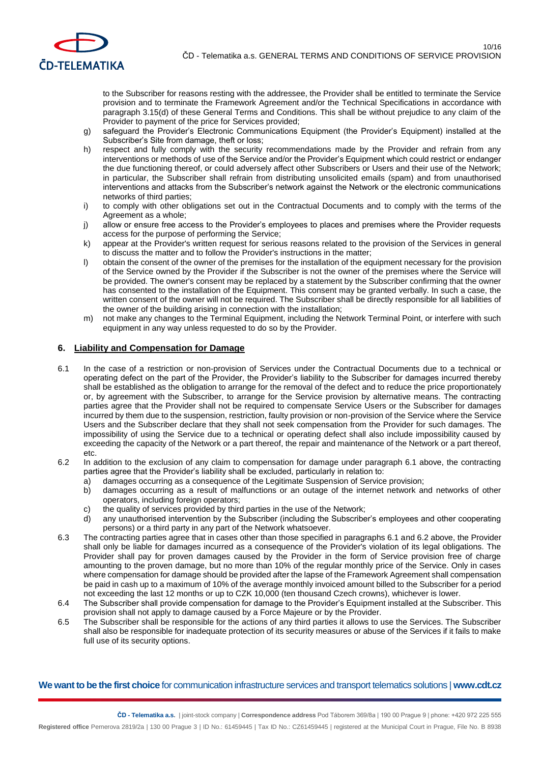

to the Subscriber for reasons resting with the addressee, the Provider shall be entitled to terminate the Service provision and to terminate the Framework Agreement and/or the Technical Specifications in accordance with paragraph 3.15(d) of these General Terms and Conditions. This shall be without prejudice to any claim of the Provider to payment of the price for Services provided;

- g) safeguard the Provider's Electronic Communications Equipment (the Provider's Equipment) installed at the Subscriber's Site from damage, theft or loss;
- h) respect and fully comply with the security recommendations made by the Provider and refrain from any interventions or methods of use of the Service and/or the Provider's Equipment which could restrict or endanger the due functioning thereof, or could adversely affect other Subscribers or Users and their use of the Network; in particular, the Subscriber shall refrain from distributing unsolicited emails (spam) and from unauthorised interventions and attacks from the Subscriber's network against the Network or the electronic communications networks of third parties;
- i) to comply with other obligations set out in the Contractual Documents and to comply with the terms of the Agreement as a whole;
- j) allow or ensure free access to the Provider's employees to places and premises where the Provider requests access for the purpose of performing the Service;
- k) appear at the Provider's written request for serious reasons related to the provision of the Services in general to discuss the matter and to follow the Provider's instructions in the matter;
- l) obtain the consent of the owner of the premises for the installation of the equipment necessary for the provision of the Service owned by the Provider if the Subscriber is not the owner of the premises where the Service will be provided. The owner's consent may be replaced by a statement by the Subscriber confirming that the owner has consented to the installation of the Equipment. This consent may be granted verbally. In such a case, the written consent of the owner will not be required. The Subscriber shall be directly responsible for all liabilities of the owner of the building arising in connection with the installation;
- m) not make any changes to the Terminal Equipment, including the Network Terminal Point, or interfere with such equipment in any way unless requested to do so by the Provider.

### **6. Liability and Compensation for Damage**

- 6.1 In the case of a restriction or non-provision of Services under the Contractual Documents due to a technical or operating defect on the part of the Provider, the Provider's liability to the Subscriber for damages incurred thereby shall be established as the obligation to arrange for the removal of the defect and to reduce the price proportionately or, by agreement with the Subscriber, to arrange for the Service provision by alternative means. The contracting parties agree that the Provider shall not be required to compensate Service Users or the Subscriber for damages incurred by them due to the suspension, restriction, faulty provision or non-provision of the Service where the Service Users and the Subscriber declare that they shall not seek compensation from the Provider for such damages. The impossibility of using the Service due to a technical or operating defect shall also include impossibility caused by exceeding the capacity of the Network or a part thereof, the repair and maintenance of the Network or a part thereof, etc.
- 6.2 In addition to the exclusion of any claim to compensation for damage under paragraph 6.1 above, the contracting parties agree that the Provider's liability shall be excluded, particularly in relation to:
	- a) damages occurring as a consequence of the Legitimate Suspension of Service provision;
	- b) damages occurring as a result of malfunctions or an outage of the internet network and networks of other operators, including foreign operators;
	- c) the quality of services provided by third parties in the use of the Network;
	- d) any unauthorised intervention by the Subscriber (including the Subscriber's employees and other cooperating persons) or a third party in any part of the Network whatsoever.
- 6.3 The contracting parties agree that in cases other than those specified in paragraphs 6.1 and 6.2 above, the Provider shall only be liable for damages incurred as a consequence of the Provider's violation of its legal obligations. The Provider shall pay for proven damages caused by the Provider in the form of Service provision free of charge amounting to the proven damage, but no more than 10% of the regular monthly price of the Service. Only in cases where compensation for damage should be provided after the lapse of the Framework Agreement shall compensation be paid in cash up to a maximum of 10% of the average monthly invoiced amount billed to the Subscriber for a period not exceeding the last 12 months or up to CZK 10,000 (ten thousand Czech crowns), whichever is lower.
- 6.4 The Subscriber shall provide compensation for damage to the Provider's Equipment installed at the Subscriber. This provision shall not apply to damage caused by a Force Majeure or by the Provider.
- 6.5 The Subscriber shall be responsible for the actions of any third parties it allows to use the Services. The Subscriber shall also be responsible for inadequate protection of its security measures or abuse of the Services if it fails to make full use of its security options.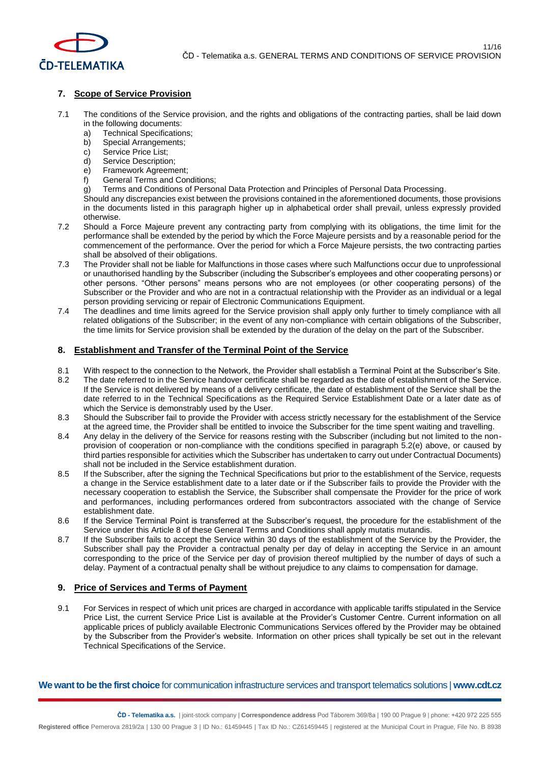

## **7. Scope of Service Provision**

- 7.1 The conditions of the Service provision, and the rights and obligations of the contracting parties, shall be laid down in the following documents:
	- a) Technical Specifications;
	- b) Special Arrangements;
	- c) Service Price List;
	- d) Service Description;
	- e) Framework Agreement;
	- f) General Terms and Conditions;
	- g) Terms and Conditions of Personal Data Protection and Principles of Personal Data Processing.

Should any discrepancies exist between the provisions contained in the aforementioned documents, those provisions in the documents listed in this paragraph higher up in alphabetical order shall prevail, unless expressly provided otherwise.

- 7.2 Should a Force Majeure prevent any contracting party from complying with its obligations, the time limit for the performance shall be extended by the period by which the Force Majeure persists and by a reasonable period for the commencement of the performance. Over the period for which a Force Majeure persists, the two contracting parties shall be absolved of their obligations.
- 7.3 The Provider shall not be liable for Malfunctions in those cases where such Malfunctions occur due to unprofessional or unauthorised handling by the Subscriber (including the Subscriber's employees and other cooperating persons) or other persons. "Other persons" means persons who are not employees (or other cooperating persons) of the Subscriber or the Provider and who are not in a contractual relationship with the Provider as an individual or a legal person providing servicing or repair of Electronic Communications Equipment.
- 7.4 The deadlines and time limits agreed for the Service provision shall apply only further to timely compliance with all related obligations of the Subscriber; in the event of any non-compliance with certain obligations of the Subscriber, the time limits for Service provision shall be extended by the duration of the delay on the part of the Subscriber.

### **8. Establishment and Transfer of the Terminal Point of the Service**

- 8.1 With respect to the connection to the Network, the Provider shall establish a Terminal Point at the Subscriber's Site.
- 8.2 The date referred to in the Service handover certificate shall be regarded as the date of establishment of the Service. If the Service is not delivered by means of a delivery certificate, the date of establishment of the Service shall be the date referred to in the Technical Specifications as the Required Service Establishment Date or a later date as of which the Service is demonstrably used by the User.
- 8.3 Should the Subscriber fail to provide the Provider with access strictly necessary for the establishment of the Service at the agreed time, the Provider shall be entitled to invoice the Subscriber for the time spent waiting and travelling.
- 8.4 Any delay in the delivery of the Service for reasons resting with the Subscriber (including but not limited to the nonprovision of cooperation or non-compliance with the conditions specified in paragraph 5.2(e) above, or caused by third parties responsible for activities which the Subscriber has undertaken to carry out under Contractual Documents) shall not be included in the Service establishment duration.
- 8.5 If the Subscriber, after the signing the Technical Specifications but prior to the establishment of the Service, requests a change in the Service establishment date to a later date or if the Subscriber fails to provide the Provider with the necessary cooperation to establish the Service, the Subscriber shall compensate the Provider for the price of work and performances, including performances ordered from subcontractors associated with the change of Service establishment date.
- 8.6 If the Service Terminal Point is transferred at the Subscriber's request, the procedure for the establishment of the Service under this Article 8 of these General Terms and Conditions shall apply mutatis mutandis.
- 8.7 If the Subscriber fails to accept the Service within 30 days of the establishment of the Service by the Provider, the Subscriber shall pay the Provider a contractual penalty per day of delay in accepting the Service in an amount corresponding to the price of the Service per day of provision thereof multiplied by the number of days of such a delay. Payment of a contractual penalty shall be without prejudice to any claims to compensation for damage.

### **9. Price of Services and Terms of Payment**

9.1 For Services in respect of which unit prices are charged in accordance with applicable tariffs stipulated in the Service Price List, the current Service Price List is available at the Provider's Customer Centre. Current information on all applicable prices of publicly available Electronic Communications Services offered by the Provider may be obtained by the Subscriber from the Provider's website. Information on other prices shall typically be set out in the relevant Technical Specifications of the Service.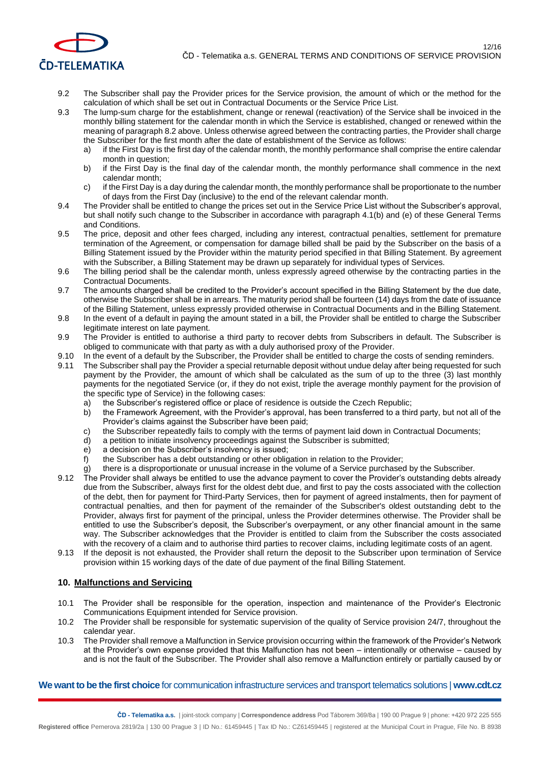

- 9.2 The Subscriber shall pay the Provider prices for the Service provision, the amount of which or the method for the calculation of which shall be set out in Contractual Documents or the Service Price List.
- 9.3 The lump-sum charge for the establishment, change or renewal (reactivation) of the Service shall be invoiced in the monthly billing statement for the calendar month in which the Service is established, changed or renewed within the meaning of paragraph 8.2 above. Unless otherwise agreed between the contracting parties, the Provider shall charge the Subscriber for the first month after the date of establishment of the Service as follows:
	- if the First Day is the first day of the calendar month, the monthly performance shall comprise the entire calendar month in question;
	- b) if the First Day is the final day of the calendar month, the monthly performance shall commence in the next calendar month;
	- c) if the First Day is a day during the calendar month, the monthly performance shall be proportionate to the number of days from the First Day (inclusive) to the end of the relevant calendar month.
- 9.4 The Provider shall be entitled to change the prices set out in the Service Price List without the Subscriber's approval, but shall notify such change to the Subscriber in accordance with paragraph 4.1(b) and (e) of these General Terms and Conditions.
- 9.5 The price, deposit and other fees charged, including any interest, contractual penalties, settlement for premature termination of the Agreement, or compensation for damage billed shall be paid by the Subscriber on the basis of a Billing Statement issued by the Provider within the maturity period specified in that Billing Statement. By agreement with the Subscriber, a Billing Statement may be drawn up separately for individual types of Services.
- 9.6 The billing period shall be the calendar month, unless expressly agreed otherwise by the contracting parties in the Contractual Documents.
- 9.7 The amounts charged shall be credited to the Provider's account specified in the Billing Statement by the due date, otherwise the Subscriber shall be in arrears. The maturity period shall be fourteen (14) days from the date of issuance of the Billing Statement, unless expressly provided otherwise in Contractual Documents and in the Billing Statement.
- 9.8 In the event of a default in paying the amount stated in a bill, the Provider shall be entitled to charge the Subscriber legitimate interest on late payment.
- 9.9 The Provider is entitled to authorise a third party to recover debts from Subscribers in default. The Subscriber is obliged to communicate with that party as with a duly authorised proxy of the Provider.
- 9.10 In the event of a default by the Subscriber, the Provider shall be entitled to charge the costs of sending reminders.
- 9.11 The Subscriber shall pay the Provider a special returnable deposit without undue delay after being requested for such payment by the Provider, the amount of which shall be calculated as the sum of up to the three (3) last monthly payments for the negotiated Service (or, if they do not exist, triple the average monthly payment for the provision of the specific type of Service) in the following cases:
	- a) the Subscriber's registered office or place of residence is outside the Czech Republic;
	- b) the Framework Agreement, with the Provider's approval, has been transferred to a third party, but not all of the Provider's claims against the Subscriber have been paid;
	- c) the Subscriber repeatedly fails to comply with the terms of payment laid down in Contractual Documents;
	- d) a petition to initiate insolvency proceedings against the Subscriber is submitted;
	- e) a decision on the Subscriber's insolvency is issued;
	- f) the Subscriber has a debt outstanding or other obligation in relation to the Provider;
	- g) there is a disproportionate or unusual increase in the volume of a Service purchased by the Subscriber.
- 9.12 The Provider shall always be entitled to use the advance payment to cover the Provider's outstanding debts already due from the Subscriber, always first for the oldest debt due, and first to pay the costs associated with the collection of the debt, then for payment for Third-Party Services, then for payment of agreed instalments, then for payment of contractual penalties, and then for payment of the remainder of the Subscriber's oldest outstanding debt to the Provider, always first for payment of the principal, unless the Provider determines otherwise. The Provider shall be entitled to use the Subscriber's deposit, the Subscriber's overpayment, or any other financial amount in the same way. The Subscriber acknowledges that the Provider is entitled to claim from the Subscriber the costs associated with the recovery of a claim and to authorise third parties to recover claims, including legitimate costs of an agent.
- 9.13 If the deposit is not exhausted, the Provider shall return the deposit to the Subscriber upon termination of Service provision within 15 working days of the date of due payment of the final Billing Statement.

### **10. Malfunctions and Servicing**

- 10.1 The Provider shall be responsible for the operation, inspection and maintenance of the Provider's Electronic Communications Equipment intended for Service provision.
- 10.2 The Provider shall be responsible for systematic supervision of the quality of Service provision 24/7, throughout the calendar year.
- 10.3 The Provider shall remove a Malfunction in Service provision occurring within the framework of the Provider's Network at the Provider's own expense provided that this Malfunction has not been – intentionally or otherwise – caused by and is not the fault of the Subscriber. The Provider shall also remove a Malfunction entirely or partially caused by or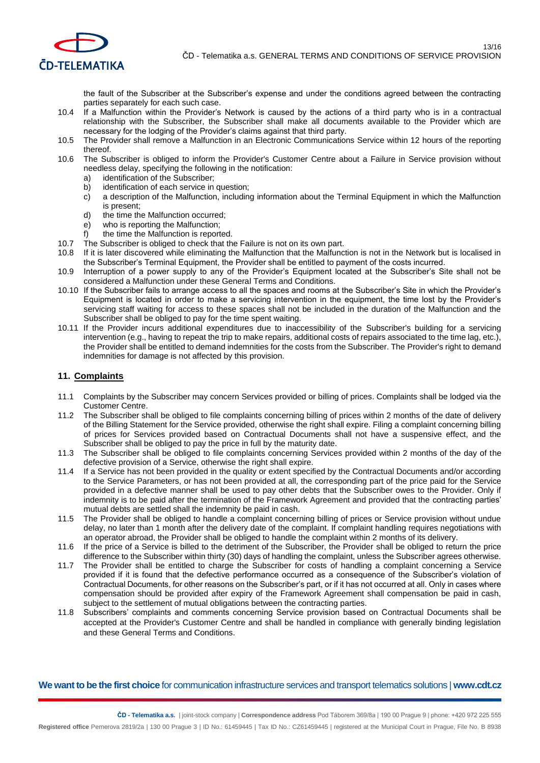

the fault of the Subscriber at the Subscriber's expense and under the conditions agreed between the contracting parties separately for each such case.

- 10.4 If a Malfunction within the Provider's Network is caused by the actions of a third party who is in a contractual relationship with the Subscriber, the Subscriber shall make all documents available to the Provider which are necessary for the lodging of the Provider's claims against that third party.
- 10.5 The Provider shall remove a Malfunction in an Electronic Communications Service within 12 hours of the reporting thereof.
- 10.6 The Subscriber is obliged to inform the Provider's Customer Centre about a Failure in Service provision without needless delay, specifying the following in the notification:
	- a) identification of the Subscriber;
	- b) identification of each service in question;
	- c) a description of the Malfunction, including information about the Terminal Equipment in which the Malfunction is present;
	- d) the time the Malfunction occurred;
	- e) who is reporting the Malfunction;
	- f) the time the Malfunction is reported.
- 10.7 The Subscriber is obliged to check that the Failure is not on its own part.
- 10.8 If it is later discovered while eliminating the Malfunction that the Malfunction is not in the Network but is localised in the Subscriber's Terminal Equipment, the Provider shall be entitled to payment of the costs incurred.
- 10.9 Interruption of a power supply to any of the Provider's Equipment located at the Subscriber's Site shall not be considered a Malfunction under these General Terms and Conditions.
- 10.10 If the Subscriber fails to arrange access to all the spaces and rooms at the Subscriber's Site in which the Provider's Equipment is located in order to make a servicing intervention in the equipment, the time lost by the Provider's servicing staff waiting for access to these spaces shall not be included in the duration of the Malfunction and the Subscriber shall be obliged to pay for the time spent waiting.
- 10.11 If the Provider incurs additional expenditures due to inaccessibility of the Subscriber's building for a servicing intervention (e.g., having to repeat the trip to make repairs, additional costs of repairs associated to the time lag, etc.), the Provider shall be entitled to demand indemnities for the costs from the Subscriber. The Provider's right to demand indemnities for damage is not affected by this provision.

### **11. Complaints**

- 11.1 Complaints by the Subscriber may concern Services provided or billing of prices. Complaints shall be lodged via the Customer Centre.
- 11.2 The Subscriber shall be obliged to file complaints concerning billing of prices within 2 months of the date of delivery of the Billing Statement for the Service provided, otherwise the right shall expire. Filing a complaint concerning billing of prices for Services provided based on Contractual Documents shall not have a suspensive effect, and the Subscriber shall be obliged to pay the price in full by the maturity date.
- 11.3 The Subscriber shall be obliged to file complaints concerning Services provided within 2 months of the day of the defective provision of a Service, otherwise the right shall expire.
- 11.4 If a Service has not been provided in the quality or extent specified by the Contractual Documents and/or according to the Service Parameters, or has not been provided at all, the corresponding part of the price paid for the Service provided in a defective manner shall be used to pay other debts that the Subscriber owes to the Provider. Only if indemnity is to be paid after the termination of the Framework Agreement and provided that the contracting parties' mutual debts are settled shall the indemnity be paid in cash.
- 11.5 The Provider shall be obliged to handle a complaint concerning billing of prices or Service provision without undue delay, no later than 1 month after the delivery date of the complaint. If complaint handling requires negotiations with an operator abroad, the Provider shall be obliged to handle the complaint within 2 months of its delivery.
- 11.6 If the price of a Service is billed to the detriment of the Subscriber, the Provider shall be obliged to return the price difference to the Subscriber within thirty (30) days of handling the complaint, unless the Subscriber agrees otherwise.
- 11.7 The Provider shall be entitled to charge the Subscriber for costs of handling a complaint concerning a Service provided if it is found that the defective performance occurred as a consequence of the Subscriber's violation of Contractual Documents, for other reasons on the Subscriber's part, or if it has not occurred at all. Only in cases where compensation should be provided after expiry of the Framework Agreement shall compensation be paid in cash, subject to the settlement of mutual obligations between the contracting parties.
- 11.8 Subscribers' complaints and comments concerning Service provision based on Contractual Documents shall be accepted at the Provider's Customer Centre and shall be handled in compliance with generally binding legislation and these General Terms and Conditions.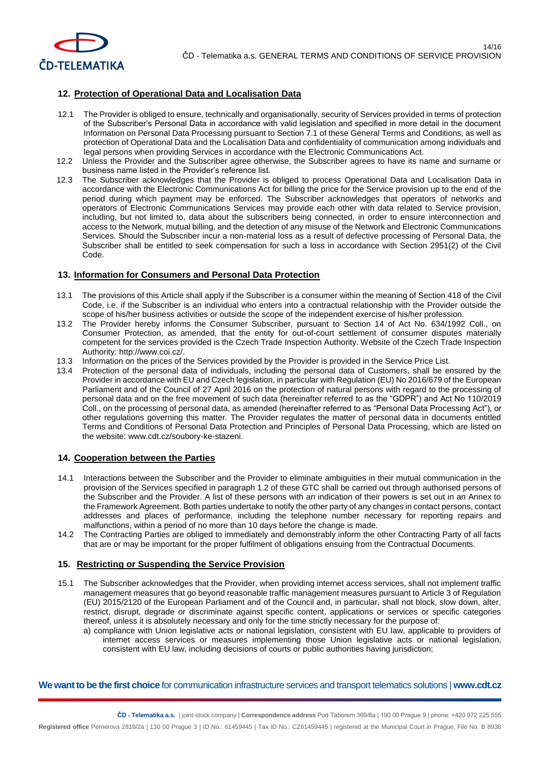

# **12. Protection of Operational Data and Localisation Data**

- 12.1 The Provider is obliged to ensure, technically and organisationally, security of Services provided in terms of protection of the Subscriber's Personal Data in accordance with valid legislation and specified in more detail in the document Information on Personal Data Processing pursuant to Section 7.1 of these General Terms and Conditions, as well as protection of Operational Data and the Localisation Data and confidentiality of communication among individuals and legal persons when providing Services in accordance with the Electronic Communications Act.
- 12.2 Unless the Provider and the Subscriber agree otherwise, the Subscriber agrees to have its name and surname or business name listed in the Provider's reference list.
- 12.3 The Subscriber acknowledges that the Provider is obliged to process Operational Data and Localisation Data in accordance with the Electronic Communications Act for billing the price for the Service provision up to the end of the period during which payment may be enforced. The Subscriber acknowledges that operators of networks and operators of Electronic Communications Services may provide each other with data related to Service provision, including, but not limited to, data about the subscribers being connected, in order to ensure interconnection and access to the Network, mutual billing, and the detection of any misuse of the Network and Electronic Communications Services. Should the Subscriber incur a non-material loss as a result of defective processing of Personal Data, the Subscriber shall be entitled to seek compensation for such a loss in accordance with Section 2951(2) of the Civil Code.

### **13. Information for Consumers and Personal Data Protection**

- 13.1 The provisions of this Article shall apply if the Subscriber is a consumer within the meaning of Section 418 of the Civil Code, i.e. if the Subscriber is an individual who enters into a contractual relationship with the Provider outside the scope of his/her business activities or outside the scope of the independent exercise of his/her profession.
- 13.2 The Provider hereby informs the Consumer Subscriber, pursuant to Section 14 of Act No. 634/1992 Coll., on Consumer Protection, as amended, that the entity for out-of-court settlement of consumer disputes materially competent for the services provided is the Czech Trade Inspection Authority. Website of the Czech Trade Inspection Authority: [http://www.coi.cz/.](http://www.coi.cz/)
- 13.3 Information on the prices of the Services provided by the Provider is provided in the Service Price List.
- 13.4 Protection of the personal data of individuals, including the personal data of Customers, shall be ensured by the Provider in accordance with EU and Czech legislation, in particular with Regulation (EU) No 2016/679 of the European Parliament and of the Council of 27 April 2016 on the protection of natural persons with regard to the processing of personal data and on the free movement of such data (hereinafter referred to as the "GDPR") and Act No 110/2019 Coll., on the processing of personal data, as amended (hereinafter referred to as "Personal Data Processing Act"), or other regulations governing this matter. The Provider regulates the matter of personal data in documents entitled Terms and Conditions of Personal Data Protection and Principles of Personal Data Processing, which are listed on the website: [www.cdt.cz/soubory-ke-stazeni.](http://www.cdt.cz/soubory-ke-stazeni)

### **14. Cooperation between the Parties**

- 14.1 Interactions between the Subscriber and the Provider to eliminate ambiguities in their mutual communication in the provision of the Services specified in paragraph 1.2 of these GTC shall be carried out through authorised persons of the Subscriber and the Provider. A list of these persons with an indication of their powers is set out in an Annex to the Framework Agreement. Both parties undertake to notify the other party of any changes in contact persons, contact addresses and places of performance, including the telephone number necessary for reporting repairs and malfunctions, within a period of no more than 10 days before the change is made.
- 14.2 The Contracting Parties are obliged to immediately and demonstrably inform the other Contracting Party of all facts that are or may be important for the proper fulfilment of obligations ensuing from the Contractual Documents.

### **15. Restricting or Suspending the Service Provision**

- 15.1 The Subscriber acknowledges that the Provider, when providing internet access services, shall not implement traffic management measures that go beyond reasonable traffic management measures pursuant to Article 3 of Regulation (EU) 2015/2120 of the European Parliament and of the Council and, in particular, shall not block, slow down, alter, restrict, disrupt, degrade or discriminate against specific content, applications or services or specific categories thereof, unless it is absolutely necessary and only for the time strictly necessary for the purpose of:
	- a) compliance with Union legislative acts or national legislation, consistent with EU law, applicable to providers of internet access services or measures implementing those Union legislative acts or national legislation, consistent with EU law, including decisions of courts or public authorities having jurisdiction;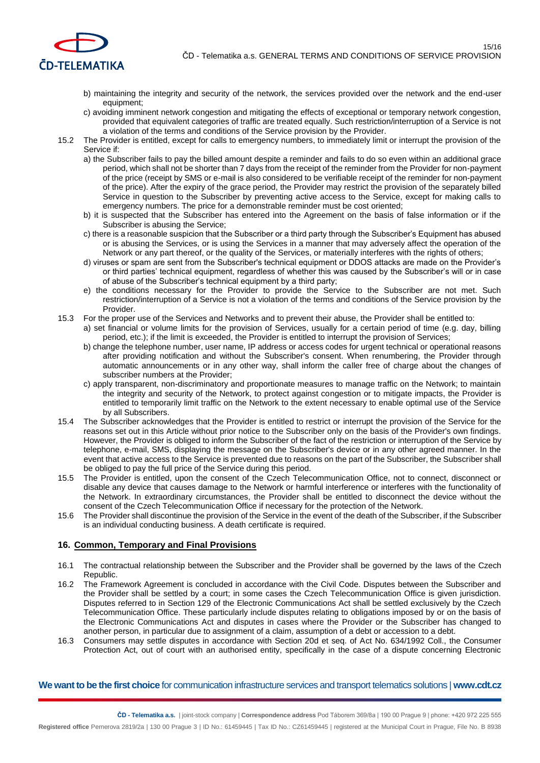

- b) maintaining the integrity and security of the network, the services provided over the network and the end-user equipment;
- c) avoiding imminent network congestion and mitigating the effects of exceptional or temporary network congestion, provided that equivalent categories of traffic are treated equally. Such restriction/interruption of a Service is not a violation of the terms and conditions of the Service provision by the Provider.
- 15.2 The Provider is entitled, except for calls to emergency numbers, to immediately limit or interrupt the provision of the Service if:
	- a) the Subscriber fails to pay the billed amount despite a reminder and fails to do so even within an additional grace period, which shall not be shorter than 7 days from the receipt of the reminder from the Provider for non-payment of the price (receipt by SMS or e-mail is also considered to be verifiable receipt of the reminder for non-payment of the price). After the expiry of the grace period, the Provider may restrict the provision of the separately billed Service in question to the Subscriber by preventing active access to the Service, except for making calls to emergency numbers. The price for a demonstrable reminder must be cost oriented;
	- b) it is suspected that the Subscriber has entered into the Agreement on the basis of false information or if the Subscriber is abusing the Service;
	- c) there is a reasonable suspicion that the Subscriber or a third party through the Subscriber's Equipment has abused or is abusing the Services, or is using the Services in a manner that may adversely affect the operation of the Network or any part thereof, or the quality of the Services, or materially interferes with the rights of others;
	- d) viruses or spam are sent from the Subscriber's technical equipment or DDOS attacks are made on the Provider's or third parties' technical equipment, regardless of whether this was caused by the Subscriber's will or in case of abuse of the Subscriber's technical equipment by a third party;
	- e) the conditions necessary for the Provider to provide the Service to the Subscriber are not met. Such restriction/interruption of a Service is not a violation of the terms and conditions of the Service provision by the Provider.
- 15.3 For the proper use of the Services and Networks and to prevent their abuse, the Provider shall be entitled to:
	- a) set financial or volume limits for the provision of Services, usually for a certain period of time (e.g. day, billing period, etc.); if the limit is exceeded, the Provider is entitled to interrupt the provision of Services;
	- b) change the telephone number, user name, IP address or access codes for urgent technical or operational reasons after providing notification and without the Subscriber's consent. When renumbering, the Provider through automatic announcements or in any other way, shall inform the caller free of charge about the changes of subscriber numbers at the Provider;
	- c) apply transparent, non-discriminatory and proportionate measures to manage traffic on the Network; to maintain the integrity and security of the Network, to protect against congestion or to mitigate impacts, the Provider is entitled to temporarily limit traffic on the Network to the extent necessary to enable optimal use of the Service by all Subscribers.
- 15.4 The Subscriber acknowledges that the Provider is entitled to restrict or interrupt the provision of the Service for the reasons set out in this Article without prior notice to the Subscriber only on the basis of the Provider's own findings. However, the Provider is obliged to inform the Subscriber of the fact of the restriction or interruption of the Service by telephone, e-mail, SMS, displaying the message on the Subscriber's device or in any other agreed manner. In the event that active access to the Service is prevented due to reasons on the part of the Subscriber, the Subscriber shall be obliged to pay the full price of the Service during this period.
- 15.5 The Provider is entitled, upon the consent of the Czech Telecommunication Office, not to connect, disconnect or disable any device that causes damage to the Network or harmful interference or interferes with the functionality of the Network. In extraordinary circumstances, the Provider shall be entitled to disconnect the device without the consent of the Czech Telecommunication Office if necessary for the protection of the Network.
- 15.6 The Provider shall discontinue the provision of the Service in the event of the death of the Subscriber, if the Subscriber is an individual conducting business. A death certificate is required.

### **16. Common, Temporary and Final Provisions**

- 16.1 The contractual relationship between the Subscriber and the Provider shall be governed by the laws of the Czech Republic.
- 16.2 The Framework Agreement is concluded in accordance with the Civil Code. Disputes between the Subscriber and the Provider shall be settled by a court; in some cases the Czech Telecommunication Office is given jurisdiction. Disputes referred to in Section 129 of the Electronic Communications Act shall be settled exclusively by the Czech Telecommunication Office. These particularly include disputes relating to obligations imposed by or on the basis of the Electronic Communications Act and disputes in cases where the Provider or the Subscriber has changed to another person, in particular due to assignment of a claim, assumption of a debt or accession to a debt.
- 16.3 Consumers may settle disputes in accordance with Section 20d et seq. of Act No. 634/1992 Coll., the Consumer Protection Act, out of court with an authorised entity, specifically in the case of a dispute concerning Electronic